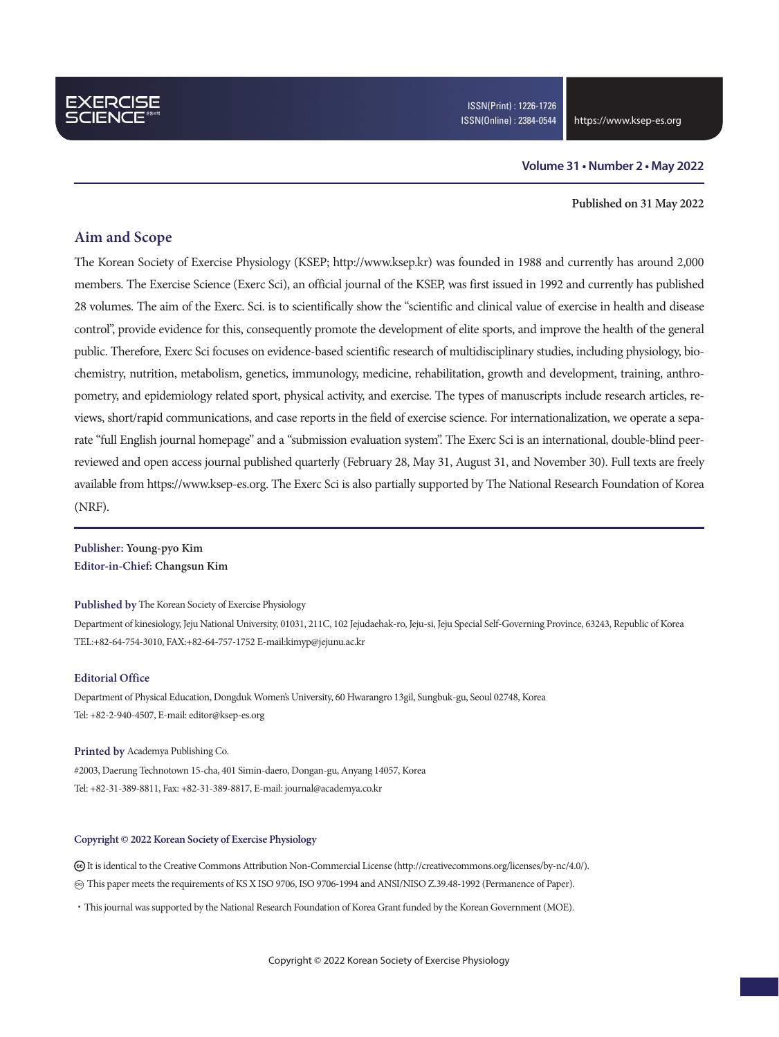### **Volume 31 • Number 2 • May 2022**

### **Published on 31 May 2022**

### **Aim and Scope**

The Korean Society of Exercise Physiology (KSEP; http://www.ksep.kr) was founded in 1988 and currently has around 2,000 members. The Exercise Science (Exerc Sci), an official journal of the KSEP, was first issued in 1992 and currently has published 28 volumes. The aim of the Exerc. Sci. is to scientifically show the "scientific and clinical value of exercise in health and disease control", provide evidence for this, consequently promote the development of elite sports, and improve the health of the general public. Therefore, Exerc Sci focuses on evidence-based scientific research of multidisciplinary studies, including physiology, biochemistry, nutrition, metabolism, genetics, immunology, medicine, rehabilitation, growth and development, training, anthropometry, and epidemiology related sport, physical activity, and exercise. The types of manuscripts include research articles, reviews, short/rapid communications, and case reports in the field of exercise science. For internationalization, we operate a separate "full English journal homepage" and a "submission evaluation system". The Exerc Sci is an international, double-blind peerreviewed and open access journal published quarterly (February 28, May 31, August 31, and November 30). Full texts are freely available from https://www.ksep-es.org. The Exerc Sci is also partially supported by The National Research Foundation of Korea (NRF).

**Publisher: Young-pyo Kim Editor-in-Chief: Changsun Kim**

#### **Published by** The Korean Society of Exercise Physiology

Department of kinesiology, Jeju National University, 01031, 211C, 102 Jejudaehak-ro, Jeju-si, Jeju Special Self-Governing Province, 63243, Republic of Korea TEL:+82-64-754-3010, FAX:+82-64-757-1752 E-mail:kimyp@jejunu.ac.kr

### **Editorial Office**

Department of Physical Education, Dongduk Women's University, 60 Hwarangro 13gil, Sungbuk-gu, Seoul 02748, Korea Tel: +82-2-940-4507, E-mail: editor@ksep-es.org

#### **Printed by** Academya Publishing Co.

#2003, Daerung Technotown 15-cha, 401 Simin-daero, Dongan-gu, Anyang 14057, Korea Tel: +82-31-389-8811, Fax: +82-31-389-8817, E-mail: journal@academya.co.kr

#### **Copyright © 2022 Korean Society of Exercise Physiology**

 It is identical to the Creative Commons Attribution Non-Commercial License (http://creativecommons.org/licenses/by-nc/4.0/). ∞ This paper meets the requirements of KS X ISO 9706, ISO 9706-1994 and ANSI/NISO Z.39.48-1992 (Permanence of Paper).

·This journal was supported by the National Research Foundation of Korea Grant funded by the Korean Government (MOE).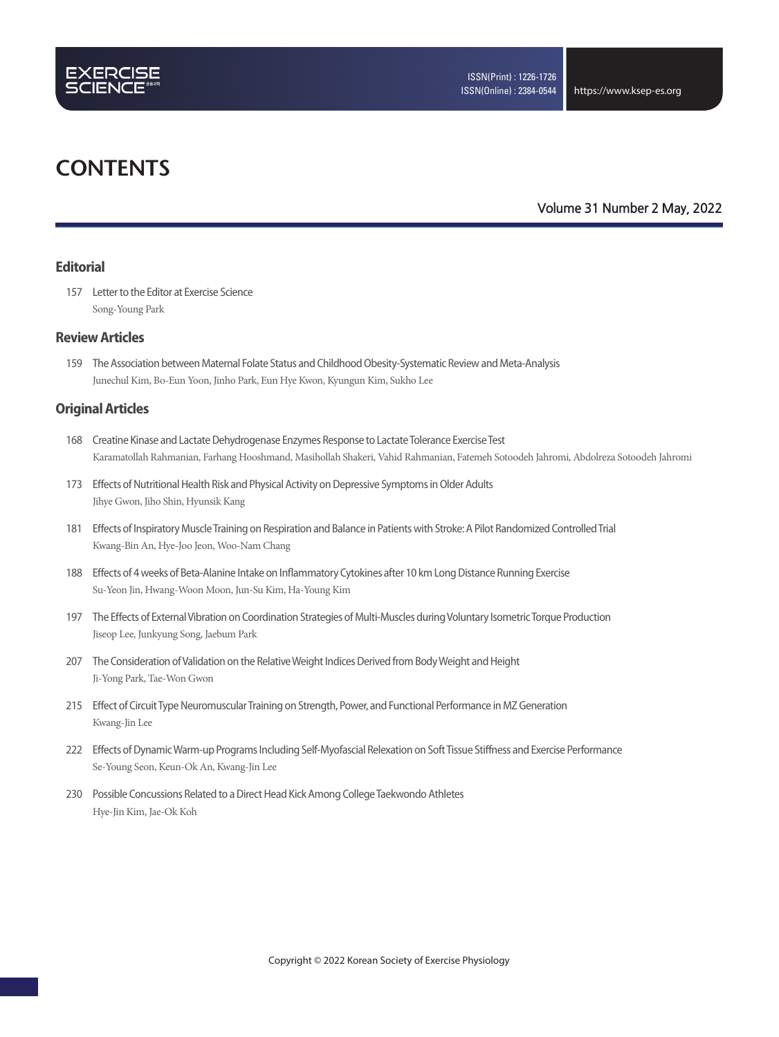

## **CONTENTS**

### **Volume 31 Number 2 May, 2022**

### **Editorial**

157 Letter to the Editor at Exercise Science Song-Young Park

### **Review Articles**

159 The Association between Maternal Folate Status and Childhood Obesity-Systematic Review and Meta-Analysis Junechul Kim, Bo-Eun Yoon, Jinho Park, Eun Hye Kwon, Kyungun Kim, Sukho Lee

### **Original Articles**

- 168 Creatine Kinase and Lactate Dehydrogenase Enzymes Response to Lactate Tolerance Exercise Test Karamatollah Rahmanian, Farhang Hooshmand, Masihollah Shakeri, Vahid Rahmanian, Fatemeh Sotoodeh Jahromi, Abdolreza Sotoodeh Jahromi
- 173 Effects of Nutritional Health Risk and Physical Activity on Depressive Symptoms in Older Adults Jihye Gwon, Jiho Shin, Hyunsik Kang
- 181 Effects of Inspiratory Muscle Training on Respiration and Balance in Patients with Stroke: A Pilot Randomized Controlled Trial Kwang-Bin An, Hye-Joo Jeon, Woo-Nam Chang
- 188 Effects of 4 weeks of Beta-Alanine Intake on Inflammatory Cytokines after 10 km Long Distance Running Exercise Su-Yeon Jin, Hwang-Woon Moon, Jun-Su Kim, Ha-Young Kim
- 197 The Effects of External Vibration on Coordination Strategies of Multi-Muscles during Voluntary Isometric Torque Production Jiseop Lee, Junkyung Song, Jaebum Park
- 207 The Consideration of Validation on the Relative Weight Indices Derived from Body Weight and Height Ji-Yong Park, Tae-Won Gwon
- 215 Effect of Circuit Type Neuromuscular Training on Strength, Power, and Functional Performance in MZ Generation Kwang-Jin Lee
- 222 Effects of Dynamic Warm-up Programs Including Self-Myofascial Relexation on Soft Tissue Stiffness and Exercise Performance Se-Young Seon, Keun-Ok An, Kwang-Jin Lee
- 230 Possible Concussions Related to a Direct Head Kick Among College Taekwondo Athletes Hye-Jin Kim, Jae-Ok Koh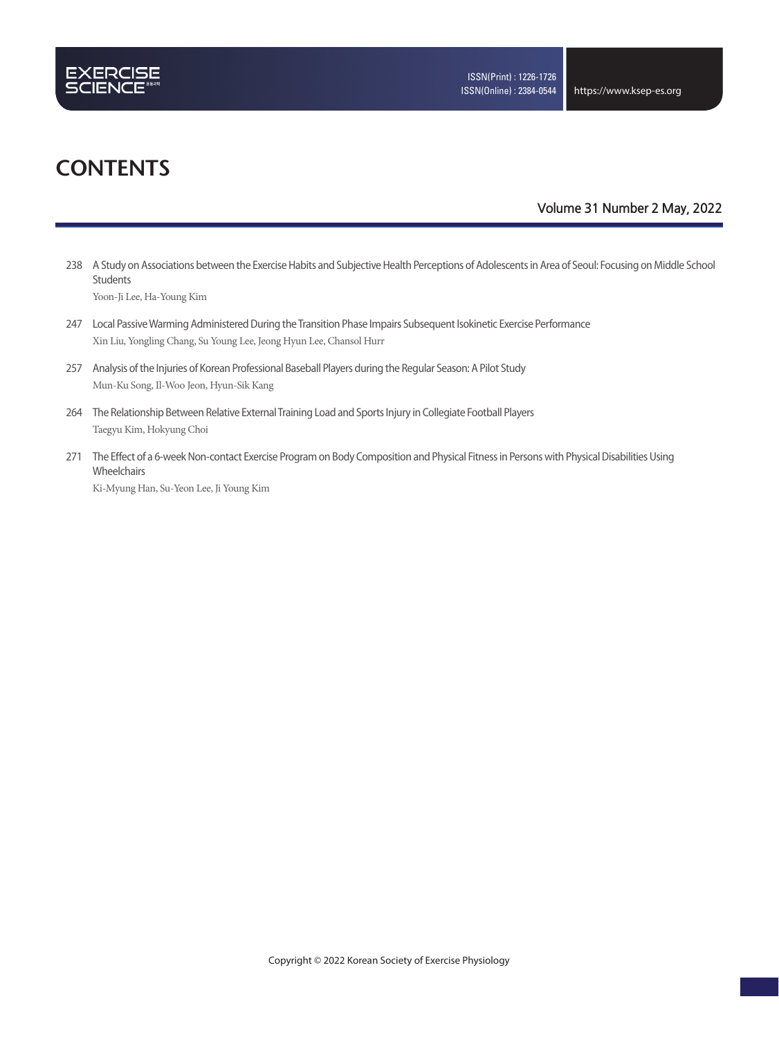

# **CONTENTS**

### **Volume 31 Number 2 May, 2022**

238 A Study on Associations between the Exercise Habits and Subjective Health Perceptions of Adolescents in Area of Seoul: Focusing on Middle School Students

Yoon-Ji Lee, Ha-Young Kim

- 247 Local Passive Warming Administered During the Transition Phase Impairs Subsequent Isokinetic Exercise Performance Xin Liu, Yongling Chang, Su Young Lee, Jeong Hyun Lee, Chansol Hurr
- 257 Analysis of the Injuries of Korean Professional Baseball Players during the Regular Season: A Pilot Study Mun-Ku Song, Il-Woo Jeon, Hyun-Sik Kang
- 264 The Relationship Between Relative External Training Load and Sports Injury in Collegiate Football Players Taegyu Kim, Hokyung Choi
- 271 The Effect of a 6-week Non-contact Exercise Program on Body Composition and Physical Fitness in Persons with Physical Disabilities Using Wheelchairs

Ki-Myung Han, Su-Yeon Lee, Ji Young Kim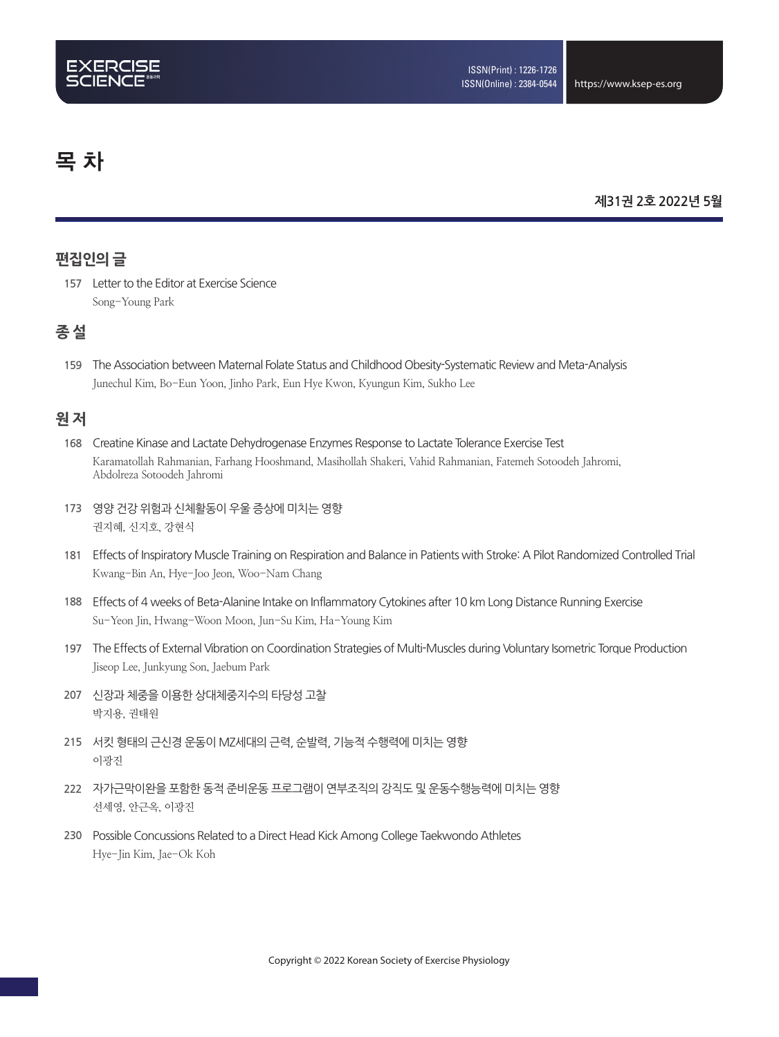# 목 차

### **제31권 2호 2022년 5월**

### **편집인의 글**

157 Letter to the Editor at Exercise Science Song-Young Park

### **종 설**

**159** The Association between Maternal Folate Status and Childhood Obesity-Systematic Review and Meta-Analysis Junechul Kim, Bo-Eun Yoon, Jinho Park, Eun Hye Kwon, Kyungun Kim, Sukho Lee

### **원 저**

- **168** Creatine Kinase and Lactate Dehydrogenase Enzymes Response to Lactate Tolerance Exercise Test Karamatollah Rahmanian, Farhang Hooshmand, Masihollah Shakeri, Vahid Rahmanian, Fatemeh Sotoodeh Jahromi, Abdolreza Sotoodeh Jahromi
- **173** 영양 건강 위험과 신체활동이 우울 증상에 미치는 영향 권지혜, 신지호, 강현식
- 181 Effects of Inspiratory Muscle Training on Respiration and Balance in Patients with Stroke: A Pilot Randomized Controlled Trial Kwang-Bin An, Hye-Joo Jeon, Woo-Nam Chang
- **188** Effects of 4 weeks of Beta-Alanine Intake on Inflammatory Cytokines after 10 km Long Distance Running Exercise Su-Yeon Jin, Hwang-Woon Moon, Jun-Su Kim, Ha-Young Kim
- **197** The Effects of External Vibration on Coordination Strategies of Multi-Muscles during Voluntary Isometric Torque Production Jiseop Lee, Junkyung Son, Jaebum Park
- **207** 신장과 체중을 이용한 상대체중지수의 타당성 고찰 박지용, 권태원
- **215** 서킷 형태의 근신경 운동이 MZ세대의 근력, 순발력, 기능적 수행력에 미치는 영향 이광진
- **222** 자가근막이완을 포함한 동적 준비운동 프로그램이 연부조직의 강직도 및 운동수행능력에 미치는 영향 선세영, 안근옥, 이광진
- **230** Possible Concussions Related to a Direct Head Kick Among College Taekwondo Athletes Hye-Jin Kim, Jae-Ok Koh